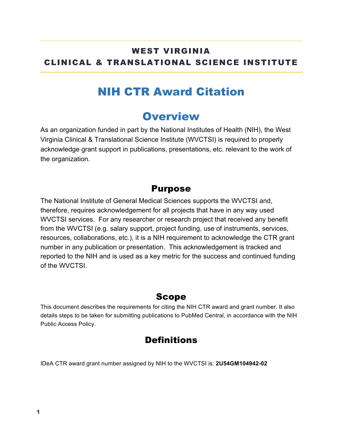### WEST VIRGINIA CLINICAL & TRANSLATIONAL SCIENCE INSTITUTE

## NIH CTR Award Citation

### **Overview**

As an organization funded in part by the National Institutes of Health (NIH), the West Virginia Clinical & Translational Science Institute (WVCTSI) is required to properly acknowledge grant support in publications, presentations, etc. relevant to the work of the organization.

#### Purpose

The National Institute of General Medical Sciences supports the WVCTSI and, therefore, requires acknowledgement for all projects that have in any way used WVCTSI services. For any researcher or research project that received any benefit from the WVCTSI (e.g. salary support, project funding, use of instruments, services, resources, collaborations, etc.), it is a NIH requirement to acknowledge the CTR grant number in any publication or presentation. This acknowledgement is tracked and reported to the NIH and is used as a key metric for the success and continued funding of the WVCTSI.

#### Scope

This document describes the requirements for citing the NIH CTR award and grant number. It also details steps to be taken for submitting publications to PubMed Central, in accordance with the NIH Public Access Policy.

### **Definitions**

IDeA CTR award grant number assigned by NIH to the WVCTSI is: **2U54GM104942-02**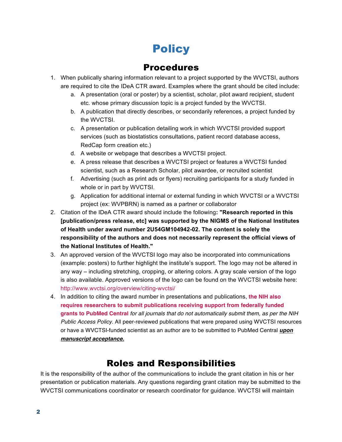# **Policy**

### Procedures

- 1. When publically sharing information relevant to a project supported by the WVCTSI, authors are required to cite the IDeA CTR award. Examples where the grant should be cited include:
	- a. A presentation (oral or poster) by a scientist, scholar, pilot award recipient, student etc. whose primary discussion topic is a project funded by the WVCTSI.
	- b. A publication that directly describes, or secondarily references, a project funded by the WVCTSI.
	- c. A presentation or publication detailing work in which WVCTSI provided support services (such as biostatistics consultations, patient record database access, RedCap form creation etc.)
	- d. A website or webpage that describes a WVCTSI project.
	- e. A press release that describes a WVCTSI project or features a WVCTSI funded scientist, such as a Research Scholar, pilot awardee, or recruited scientist
	- f. Advertising (such as print ads or flyers) recruiting participants for a study funded in whole or in part by WVCTSI.
	- g. Application for additional internal or external funding in which WVCTSI or a WVCTSI project (ex: WVPBRN) is named as a partner or collaborator
- 2. Citation of the IDeA CTR award should include the following**: "Research reported in this [publication/press release, etc] was supported by the NIGMS of the National Institutes of Health under award number 2U54GM104942-02. The content is solely the responsibility of the authors and does not necessarily represent the official views of the National Institutes of Health."**
- 3. An approved version of the WVCTSI logo may also be incorporated into communications (example: posters) to further highlight the institute's support. The logo may not be altered in any way – including stretching, cropping, or altering colors. A gray scale version of the logo is also available. Approved versions of the logo can be found on the WVCTSI website here: http://www.wvctsi.org/overview/citing-wvctsi/
- 4. In addition to citing the award number in presentations and publications, **the NIH also requires researchers to submit publications receiving support from federally funded grants to PubMed Central** *for all journals that do not automatically submit them, as per the NIH Public Access Policy.* All peer-reviewed publications that were prepared using WVCTSI resources or have a WVCTSI-funded scientist as an author are to be submitted to PubMed Central *upon manuscript acceptance.*

### Roles and Responsibilities

It is the responsibility of the author of the communications to include the grant citation in his or her presentation or publication materials. Any questions regarding grant citation may be submitted to the WVCTSI communications coordinator or research coordinator for guidance. WVCTSI will maintain